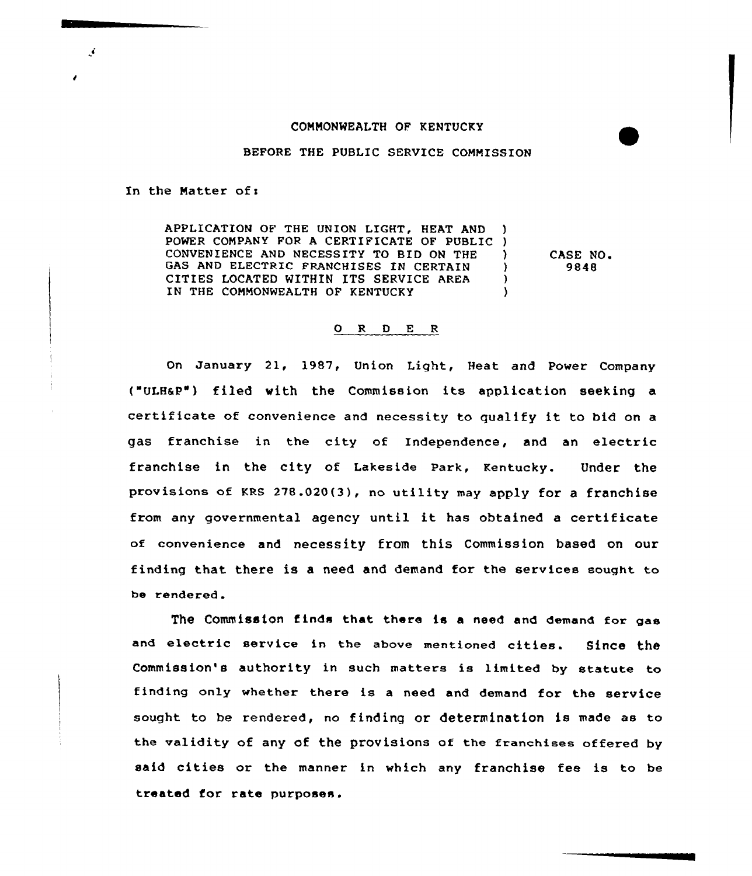## COMMONWEALTH OF KENTUCKY

## BEFORE THE PUBLIC SERVICE COMMISSION

In the Matter of:

Ä.

APPLICATION OF THE UNION LIGHT, HEAT AND ) POWER COMPANY FOR <sup>A</sup> CERTIFICATE OF PUBLIC ) CONVENIENCE AND NECESSITY TO BID ON THE )<br>GAS AND ELECTRIC FRANCHISES IN CERTAIN GAS AND ELECTRIC FRANCHISES IN CERTAIN CITIES LOCATED WITHIN ITS SERVICE AREA (1) IN THE COMMONWEALTH OF KENTUCKY

CASE NO. 9848

## 0 R <sup>D</sup> E <sup>R</sup>

On January 21, 1987, Union Light, Heat and Power Company ("ULHaP") filed with the Commission its application seeking a certificate of convenience and necessity to qualify it to bid on <sup>a</sup> gas franchise in the city of Independence, and an electric franchise in the city of Lakeside Park, Kentucky. Under the provisions of KRs 278.020(3), no utility may apply for <sup>a</sup> franchise from any governmental agency until it has obtained <sup>a</sup> certificate of convenience and necessity from this Commission based on our finding that there is a need and demand for the services sought to be rendered.

The Commission finds that there is a need and demand for gas and electric service in the above mentioned cities. Since the Commission's authority in such matters is limited by statute to finding only whether there is <sup>a</sup> need and demand for the service sought. to be rendered, no finding or determination is made as to the validity of any of the provisions of the franchises offered by said cities or the manner in which any franchise fee is to be treated for rate purposes.